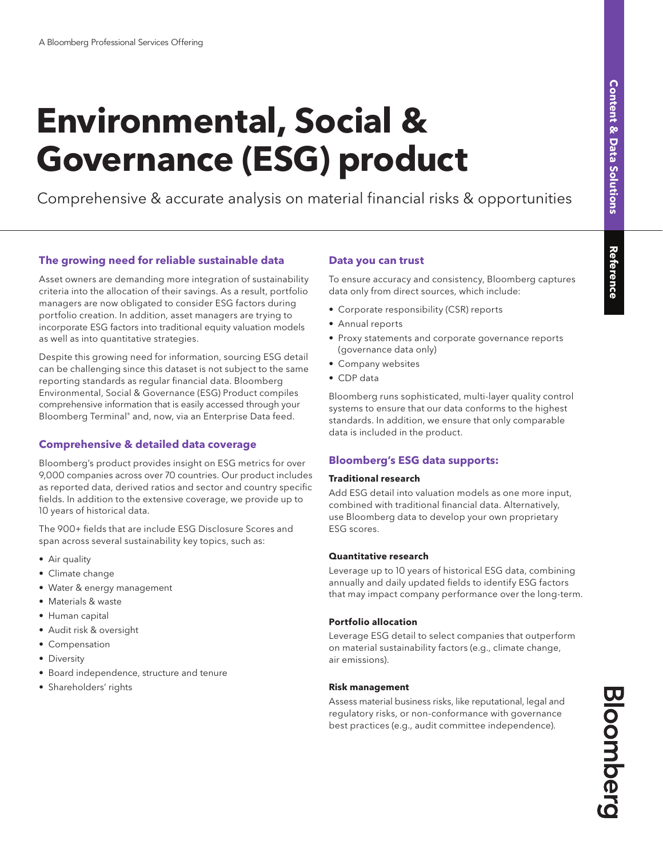# **Environmental, Social & Governance (ESG) product**

Comprehensive & accurate analysis on material financial risks & opportunities

## **The growing need for reliable sustainable data**

Asset owners are demanding more integration of sustainability criteria into the allocation of their savings. As a result, portfolio managers are now obligated to consider ESG factors during portfolio creation. In addition, asset managers are trying to incorporate ESG factors into traditional equity valuation models as well as into quantitative strategies.

Despite this growing need for information, sourcing ESG detail can be challenging since this dataset is not subject to the same reporting standards as regular financial data. Bloomberg Environmental, Social & Governance (ESG) Product compiles comprehensive information that is easily accessed through your Bloomberg Terminal® and, now, via an Enterprise Data feed.

## **Comprehensive & detailed data coverage**

Bloomberg's product provides insight on ESG metrics for over 9,000 companies across over 70 countries. Our product includes as reported data, derived ratios and sector and country specific fields. In addition to the extensive coverage, we provide up to 10 years of historical data.

The 900+ fields that are include ESG Disclosure Scores and span across several sustainability key topics, such as:

- Air quality
- Climate change
- Water & energy management
- Materials & waste
- Human capital
- Audit risk & oversight
- Compensation
- Diversity
- Board independence, structure and tenure
- Shareholders' rights

## **Data you can trust**

To ensure accuracy and consistency, Bloomberg captures data only from direct sources, which include:

- Corporate responsibility (CSR) reports
- Annual reports
- Proxy statements and corporate governance reports (governance data only)
- Company websites
- CDP data

Bloomberg runs sophisticated, multi-layer quality control systems to ensure that our data conforms to the highest standards. In addition, we ensure that only comparable data is included in the product.

## **Bloomberg's ESG data supports:**

#### **Traditional research**

Add ESG detail into valuation models as one more input, combined with traditional financial data. Alternatively, use Bloomberg data to develop your own proprietary ESG scores.

#### **Quantitative research**

Leverage up to 10 years of historical ESG data, combining annually and daily updated fields to identify ESG factors that may impact company performance over the long-term.

## **Portfolio allocation**

Leverage ESG detail to select companies that outperform on material sustainability factors (e.g., climate change, air emissions).

#### **Risk management**

Assess material business risks, like reputational, legal and regulatory risks, or non-conformance with governance best practices (e.g., audit committee independence).

Bloomberg